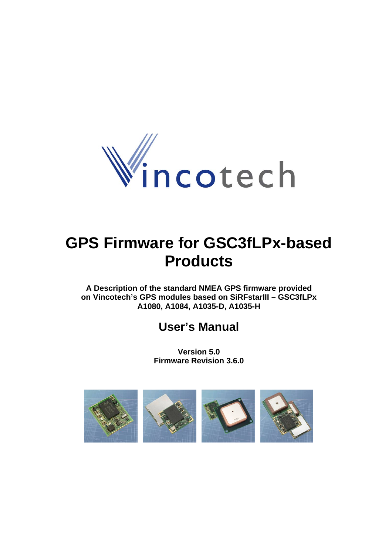

# **GPS Firmware for GSC3fLPx-based Products**

**A Description of the standard NMEA GPS firmware provided on Vincotech's GPS modules based on SiRFstarIII – GSC3fLPx A1080, A1084, A1035-D, A1035-H** 

# **User's Manual**

**Version 5.0 Firmware Revision 3.6.0** 

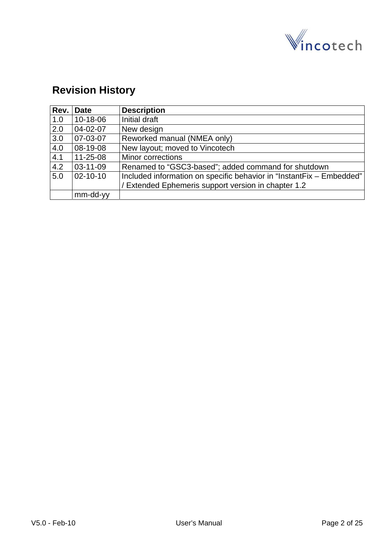

# **Revision History**

| Rev. | <b>Date</b>    | <b>Description</b>                                                   |
|------|----------------|----------------------------------------------------------------------|
| 1.0  | 10-18-06       | Initial draft                                                        |
| 2.0  | 04-02-07       | New design                                                           |
| 3.0  | 07-03-07       | Reworked manual (NMEA only)                                          |
| 4.0  | 08-19-08       | New layout; moved to Vincotech                                       |
| 4.1  | $11 - 25 - 08$ | Minor corrections                                                    |
| 4.2  | 03-11-09       | Renamed to "GSC3-based"; added command for shutdown                  |
| 5.0  | $02 - 10 - 10$ | Included information on specific behavior in "InstantFix - Embedded" |
|      |                | / Extended Ephemeris support version in chapter 1.2                  |
|      | mm-dd-yy       |                                                                      |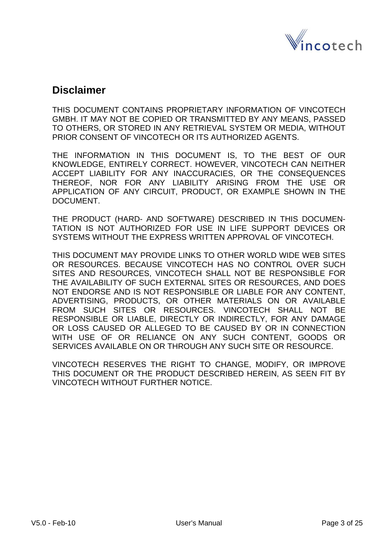

## **Disclaimer**

THIS DOCUMENT CONTAINS PROPRIETARY INFORMATION OF VINCOTECH GMBH. IT MAY NOT BE COPIED OR TRANSMITTED BY ANY MEANS, PASSED TO OTHERS, OR STORED IN ANY RETRIEVAL SYSTEM OR MEDIA, WITHOUT PRIOR CONSENT OF VINCOTECH OR ITS AUTHORIZED AGENTS.

THE INFORMATION IN THIS DOCUMENT IS, TO THE BEST OF OUR KNOWLEDGE, ENTIRELY CORRECT. HOWEVER, VINCOTECH CAN NEITHER ACCEPT LIABILITY FOR ANY INACCURACIES, OR THE CONSEQUENCES THEREOF, NOR FOR ANY LIABILITY ARISING FROM THE USE OR APPLICATION OF ANY CIRCUIT, PRODUCT, OR EXAMPLE SHOWN IN THE DOCUMENT.

THE PRODUCT (HARD- AND SOFTWARE) DESCRIBED IN THIS DOCUMEN-TATION IS NOT AUTHORIZED FOR USE IN LIFE SUPPORT DEVICES OR SYSTEMS WITHOUT THE EXPRESS WRITTEN APPROVAL OF VINCOTECH.

THIS DOCUMENT MAY PROVIDE LINKS TO OTHER WORLD WIDE WEB SITES OR RESOURCES. BECAUSE VINCOTECH HAS NO CONTROL OVER SUCH SITES AND RESOURCES, VINCOTECH SHALL NOT BE RESPONSIBLE FOR THE AVAILABILITY OF SUCH EXTERNAL SITES OR RESOURCES, AND DOES NOT ENDORSE AND IS NOT RESPONSIBLE OR LIABLE FOR ANY CONTENT, ADVERTISING, PRODUCTS, OR OTHER MATERIALS ON OR AVAILABLE FROM SUCH SITES OR RESOURCES. VINCOTECH SHALL NOT BE RESPONSIBLE OR LIABLE, DIRECTLY OR INDIRECTLY, FOR ANY DAMAGE OR LOSS CAUSED OR ALLEGED TO BE CAUSED BY OR IN CONNECTION WITH USE OF OR RELIANCE ON ANY SUCH CONTENT, GOODS OR SERVICES AVAILABLE ON OR THROUGH ANY SUCH SITE OR RESOURCE.

VINCOTECH RESERVES THE RIGHT TO CHANGE, MODIFY, OR IMPROVE THIS DOCUMENT OR THE PRODUCT DESCRIBED HEREIN, AS SEEN FIT BY VINCOTECH WITHOUT FURTHER NOTICE.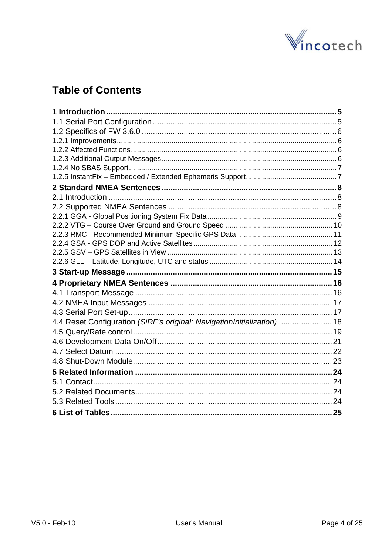

# **Table of Contents**

| 4.4 Reset Configuration (SiRF's original: NavigationInitialization)  18 |  |
|-------------------------------------------------------------------------|--|
|                                                                         |  |
|                                                                         |  |
|                                                                         |  |
|                                                                         |  |
|                                                                         |  |
|                                                                         |  |
|                                                                         |  |
|                                                                         |  |
|                                                                         |  |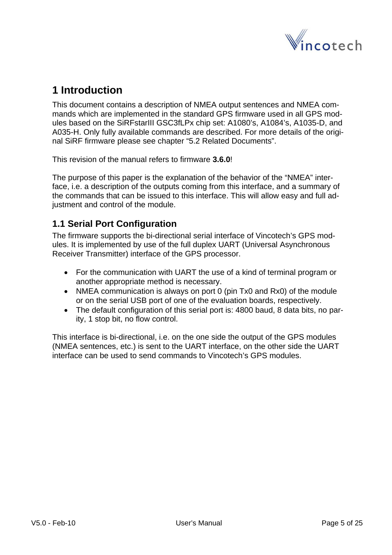

# <span id="page-4-0"></span>**1 Introduction**

This document contains a description of NMEA output sentences and NMEA commands which are implemented in the standard GPS firmware used in all GPS modules based on the SiRFstarIII GSC3fLPx chip set: A1080's, A1084's, A1035-D, and A035-H. Only fully available commands are described. For more details of the original SiRF firmware please see chapter "[5.2](#page-23-0) [Related Documents](#page-23-0)".

This revision of the manual refers to firmware **3.6.0**!

The purpose of this paper is the explanation of the behavior of the "NMEA" interface, i.e. a description of the outputs coming from this interface, and a summary of the commands that can be issued to this interface. This will allow easy and full adjustment and control of the module.

### **1.1 Serial Port Configuration**

The firmware supports the bi-directional serial interface of Vincotech's GPS modules. It is implemented by use of the full duplex UART (Universal Asynchronous Receiver Transmitter) interface of the GPS processor.

- For the communication with UART the use of a kind of terminal program or another appropriate method is necessary.
- NMEA communication is always on port 0 (pin Tx0 and Rx0) of the module or on the serial USB port of one of the evaluation boards, respectively.
- The default configuration of this serial port is: 4800 baud, 8 data bits, no parity, 1 stop bit, no flow control.

This interface is bi-directional, i.e. on the one side the output of the GPS modules (NMEA sentences, etc.) is sent to the UART interface, on the other side the UART interface can be used to send commands to Vincotech's GPS modules.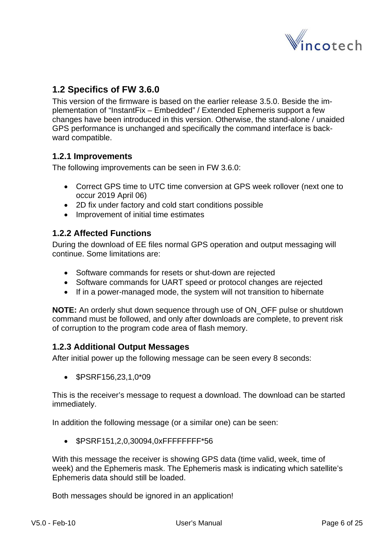

### <span id="page-5-0"></span>**1.2 Specifics of FW 3.6.0**

This version of the firmware is based on the earlier release 3.5.0. Beside the implementation of "InstantFix – Embedded" / Extended Ephemeris support a few changes have been introduced in this version. Otherwise, the stand-alone / unaided GPS performance is unchanged and specifically the command interface is backward compatible.

#### **1.2.1 Improvements**

The following improvements can be seen in FW 3.6.0:

- Correct GPS time to UTC time conversion at GPS week rollover (next one to occur 2019 April 06)
- 2D fix under factory and cold start conditions possible
- Improvement of initial time estimates

#### **1.2.2 Affected Functions**

During the download of EE files normal GPS operation and output messaging will continue. Some limitations are:

- Software commands for resets or shut-down are rejected
- Software commands for UART speed or protocol changes are rejected
- If in a power-managed mode, the system will not transition to hibernate

**NOTE:** An orderly shut down sequence through use of ON\_OFF pulse or shutdown command must be followed, and only after downloads are complete, to prevent risk of corruption to the program code area of flash memory.

#### **1.2.3 Additional Output Messages**

After initial power up the following message can be seen every 8 seconds:

• \$PSRF156,23,1,0\*09

This is the receiver's message to request a download. The download can be started immediately.

In addition the following message (or a similar one) can be seen:

• \$PSRF151,2,0,30094,0xFFFFFFFF\*56

With this message the receiver is showing GPS data (time valid, week, time of week) and the Ephemeris mask. The Ephemeris mask is indicating which satellite's Ephemeris data should still be loaded.

Both messages should be ignored in an application!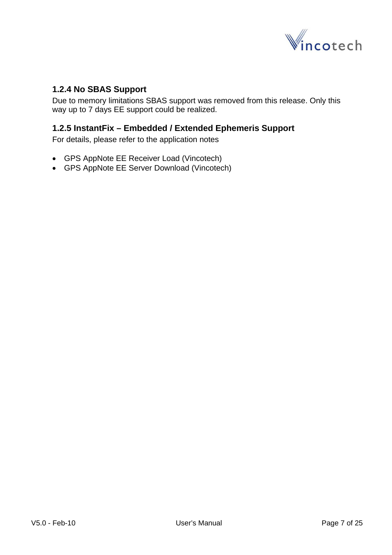

#### <span id="page-6-0"></span>**1.2.4 No SBAS Support**

Due to memory limitations SBAS support was removed from this release. Only this way up to 7 days EE support could be realized.

#### **1.2.5 InstantFix – Embedded / Extended Ephemeris Support**

For details, please refer to the application notes

- GPS AppNote EE Receiver Load (Vincotech)
- GPS AppNote EE Server Download (Vincotech)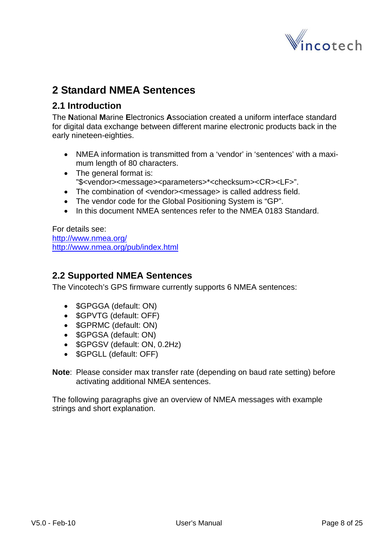

# <span id="page-7-0"></span>**2 Standard NMEA Sentences**

#### **2.1 Introduction**

The **N**ational **M**arine **E**lectronics **A**ssociation created a uniform interface standard for digital data exchange between different marine electronic products back in the early nineteen-eighties.

- NMEA information is transmitted from a 'vendor' in 'sentences' with a maximum length of 80 characters.
- The general format is: "\$<vendor><message><parameters>\*<checksum><CR><LF>".
- The combination of <vendor><message> is called address field.
- The vendor code for the Global Positioning System is "GP".
- In this document NMEA sentences refer to the NMEA 0183 Standard.

For details see: <http://www.nmea.org/> <http://www.nmea.org/pub/index.html>

#### **2.2 Supported NMEA Sentences**

The Vincotech's GPS firmware currently supports 6 NMEA sentences:

- \$GPGGA (default: ON)
- **\$GPVTG** (default: OFF)
- \$GPRMC (default: ON)
- \$GPGSA (default: ON)
- **\$GPGSV** (default: ON, 0.2Hz)
- **\$GPGLL (default: OFF)**
- **Note**: Please consider max transfer rate (depending on baud rate setting) before activating additional NMEA sentences.

The following paragraphs give an overview of NMEA messages with example strings and short explanation.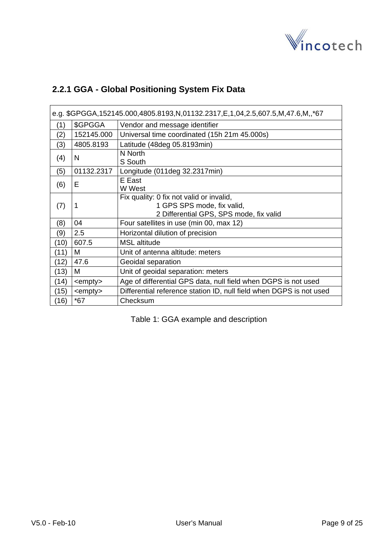

### <span id="page-8-0"></span>**2.2.1 GGA - Global Positioning System Fix Data**

| e.g. \$GPGGA,152145.000,4805.8193,N,01132.2317,E,1,04,2.5,607.5,M,47.6,M,,*67 |                  |                                                                                                                   |  |  |
|-------------------------------------------------------------------------------|------------------|-------------------------------------------------------------------------------------------------------------------|--|--|
| (1)                                                                           | \$GPGGA          | Vendor and message identifier                                                                                     |  |  |
| (2)                                                                           | 152145.000       | Universal time coordinated (15h 21m 45.000s)                                                                      |  |  |
| (3)                                                                           | 4805.8193        | Latitude (48deg 05.8193min)                                                                                       |  |  |
| (4)                                                                           | N                | N North<br>S South                                                                                                |  |  |
| (5)                                                                           | 01132.2317       | Longitude (011deg 32.2317min)                                                                                     |  |  |
| (6)                                                                           | Е                | E East<br>W West                                                                                                  |  |  |
| (7)                                                                           | 1                | Fix quality: 0 fix not valid or invalid,<br>1 GPS SPS mode, fix valid,<br>2 Differential GPS, SPS mode, fix valid |  |  |
| (8)                                                                           | 04               | Four satellites in use (min 00, max 12)                                                                           |  |  |
| (9)                                                                           | 2.5              | Horizontal dilution of precision                                                                                  |  |  |
| (10)                                                                          | 607.5            | <b>MSL</b> altitude                                                                                               |  |  |
| (11)                                                                          | M                | Unit of antenna altitude: meters                                                                                  |  |  |
| (12)                                                                          | 47.6             | Geoidal separation                                                                                                |  |  |
| (13)                                                                          | M                | Unit of geoidal separation: meters                                                                                |  |  |
| (14)                                                                          | <empty></empty>  | Age of differential GPS data, null field when DGPS is not used                                                    |  |  |
| (15)                                                                          | $\leq$ empty $>$ | Differential reference station ID, null field when DGPS is not used                                               |  |  |
| (16)                                                                          | $*67$            | Checksum                                                                                                          |  |  |

Table 1: GGA example and description

h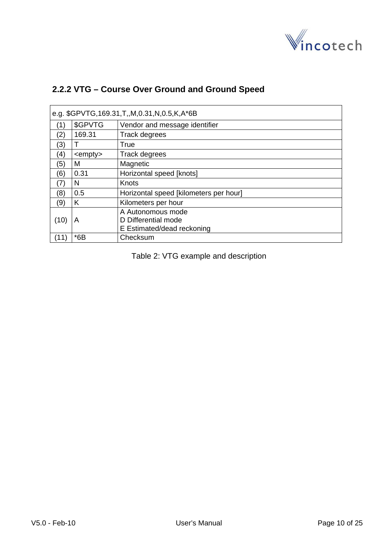

| e.g. \$GPVTG, 169.31, T,, M, 0.31, N, 0.5, K, A*6B |                 |                                        |  |
|----------------------------------------------------|-----------------|----------------------------------------|--|
| (1)                                                | \$GPVTG         | Vendor and message identifier          |  |
| (2)                                                | 169.31          | Track degrees                          |  |
| (3)                                                |                 | True                                   |  |
| (4)                                                | <empty></empty> | <b>Track degrees</b>                   |  |
| (5)                                                | M               | Magnetic                               |  |
| (6)                                                | 0.31            | Horizontal speed [knots]               |  |
| (7)                                                | N               | Knots                                  |  |
| (8)                                                | 0.5             | Horizontal speed [kilometers per hour] |  |
| (9)                                                | K               | Kilometers per hour                    |  |
|                                                    |                 | A Autonomous mode                      |  |
| (10)                                               | A               | D Differential mode                    |  |
|                                                    |                 | E Estimated/dead reckoning             |  |
| (11)                                               | $*6B$           | Checksum                               |  |

### <span id="page-9-0"></span>**2.2.2 VTG – Course Over Ground and Ground Speed**

Table 2: VTG example and description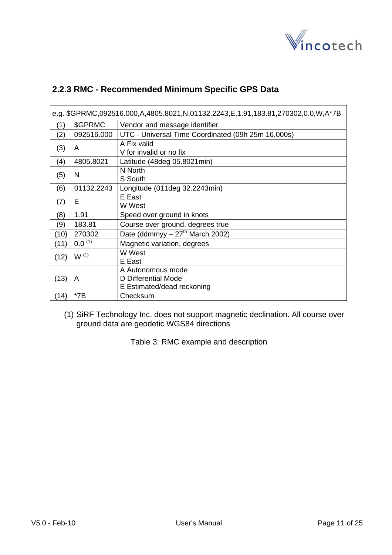

#### <span id="page-10-0"></span>**2.2.3 RMC - Recommended Minimum Specific GPS Data**

| e.g. \$GPRMC,092516.000,A,4805.8021,N,01132.2243,E,1.91,183.81,270302,0.0,W,A*7B |             |                                                                        |  |  |
|----------------------------------------------------------------------------------|-------------|------------------------------------------------------------------------|--|--|
| (1)                                                                              | \$GPRMC     | Vendor and message identifier                                          |  |  |
| (2)                                                                              | 092516.000  | UTC - Universal Time Coordinated (09h 25m 16.000s)                     |  |  |
| (3)                                                                              | A           | A Fix valid<br>V for invalid or no fix                                 |  |  |
| (4)                                                                              | 4805.8021   | Latitude (48deg 05.8021min)                                            |  |  |
| (5)                                                                              | N           | N North<br>S South                                                     |  |  |
| (6)                                                                              | 01132.2243  | Longitude (011deg 32.2243min)                                          |  |  |
| (7)                                                                              | E           | E East<br>W West                                                       |  |  |
| (8)                                                                              | 1.91        | Speed over ground in knots                                             |  |  |
| (9)                                                                              | 183.81      | Course over ground, degrees true                                       |  |  |
| (10)                                                                             | 270302      | Date (ddmmyy $-27th$ March 2002)                                       |  |  |
| (11)                                                                             | $0.0^{(1)}$ | Magnetic variation, degrees                                            |  |  |
| (12)                                                                             | $W^{(1)}$   | W West<br>E East                                                       |  |  |
| (13)                                                                             | A           | A Autonomous mode<br>D Differential Mode<br>E Estimated/dead reckoning |  |  |
| (14)                                                                             | $*7B$       | Checksum                                                               |  |  |

(1) SiRF Technology Inc. does not support magnetic declination. All course over ground data are geodetic WGS84 directions

Table 3: RMC example and description

h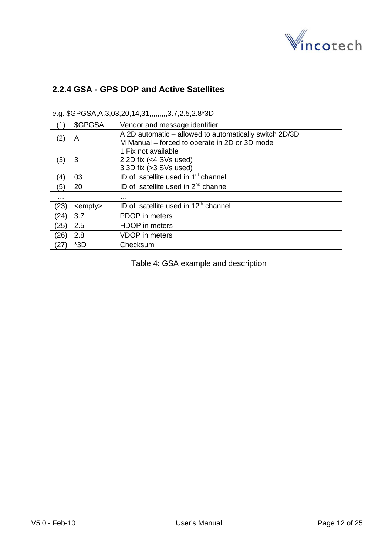

### <span id="page-11-0"></span>**2.2.4 GSA - GPS DOP and Active Satellites**

| e.g. \$GPGSA, A, 3, 03, 20, 14, 31, ,,,,,,,, 3. 7, 2. 5, 2. 8* 3D |                 |                                                                                                         |  |  |
|-------------------------------------------------------------------|-----------------|---------------------------------------------------------------------------------------------------------|--|--|
| (1)                                                               | \$GPGSA         | Vendor and message identifier                                                                           |  |  |
| (2)                                                               | A               | A 2D automatic – allowed to automatically switch 2D/3D<br>M Manual – forced to operate in 2D or 3D mode |  |  |
| (3)                                                               | 3               | 1 Fix not available<br>2 2D fix (<4 SVs used)<br>3 3D fix (>3 SVs used)                                 |  |  |
| (4)                                                               | 03              | ID of satellite used in 1 <sup>st</sup> channel                                                         |  |  |
| (5)                                                               | 20              | ID of satellite used in $2^{nd}$ channel                                                                |  |  |
| .                                                                 |                 | .                                                                                                       |  |  |
| (23)                                                              | <empty></empty> | ID of satellite used in 12 <sup>th</sup> channel                                                        |  |  |
| (24)                                                              | 3.7             | PDOP in meters                                                                                          |  |  |
| (25)                                                              | 2.5             | <b>HDOP</b> in meters                                                                                   |  |  |
| (26)                                                              | 2.8             | VDOP in meters                                                                                          |  |  |
| (27)                                                              | $*3D$           | Checksum                                                                                                |  |  |

Table 4: GSA example and description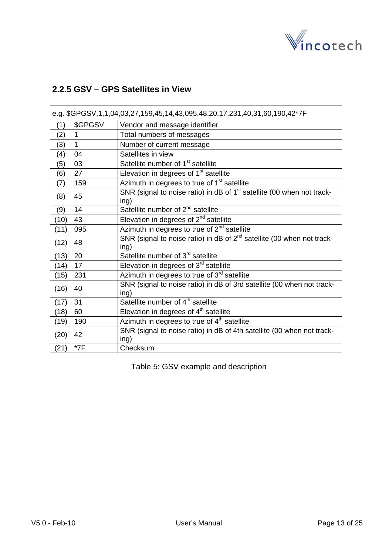

### <span id="page-12-0"></span>**2.2.5 GSV – GPS Satellites in View**

| e.g. \$GPGSV,1,1,04,03,27,159,45,14,43,095,48,20,17,231,40,31,60,190,42*7F |         |                                                                                            |  |  |
|----------------------------------------------------------------------------|---------|--------------------------------------------------------------------------------------------|--|--|
| (1)                                                                        | \$GPGSV | Vendor and message identifier                                                              |  |  |
| (2)                                                                        | 1       | Total numbers of messages                                                                  |  |  |
| (3)                                                                        | 1       | Number of current message                                                                  |  |  |
| (4)                                                                        | 04      | Satellites in view                                                                         |  |  |
| (5)                                                                        | 03      | Satellite number of 1 <sup>st</sup> satellite                                              |  |  |
| (6)                                                                        | 27      | Elevation in degrees of 1 <sup>st</sup> satellite                                          |  |  |
| (7)                                                                        | 159     | Azimuth in degrees to true of 1 <sup>st</sup> satellite                                    |  |  |
| (8)                                                                        | 45      | SNR (signal to noise ratio) in dB of 1 <sup>st</sup> satellite (00 when not track-<br>ing) |  |  |
| (9)                                                                        | 14      | Satellite number of $2^{nd}$ satellite                                                     |  |  |
| (10)                                                                       | 43      | Elevation in degrees of $2^{nd}$ satellite                                                 |  |  |
| (11)                                                                       | 095     | Azimuth in degrees to true of $2nd$ satellite                                              |  |  |
| (12)                                                                       | 48      | SNR (signal to noise ratio) in dB of $2^{nd}$ satellite (00 when not track-<br>ing)        |  |  |
| (13)                                                                       | 20      | Satellite number of 3 <sup>rd</sup> satellite                                              |  |  |
| (14)                                                                       | 17      | Elevation in degrees of 3 <sup>rd</sup> satellite                                          |  |  |
| (15)                                                                       | 231     | Azimuth in degrees to true of 3 <sup>rd</sup> satellite                                    |  |  |
| (16)                                                                       | 40      | SNR (signal to noise ratio) in dB of 3rd satellite (00 when not track-<br>ing)             |  |  |
| (17)                                                                       | 31      | Satellite number of 4 <sup>th</sup> satellite                                              |  |  |
| (18)                                                                       | 60      | Elevation in degrees of 4 <sup>th</sup> satellite                                          |  |  |
| (19)                                                                       | 190     | Azimuth in degrees to true of $4th$ satellite                                              |  |  |
| (20)                                                                       | 42      | SNR (signal to noise ratio) in dB of 4th satellite (00 when not track-<br>ing)             |  |  |
| (21)                                                                       | $*7F$   | Checksum                                                                                   |  |  |

Table 5: GSV example and description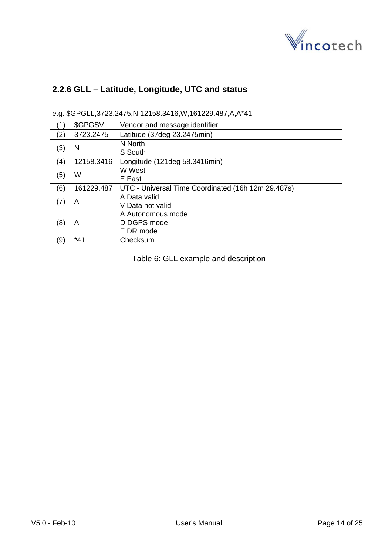

<span id="page-13-0"></span>

| 2.2.6 GLL - Latitude, Longitude, UTC and status |  |  |
|-------------------------------------------------|--|--|
|                                                 |  |  |

| e.g. \$GPGLL,3723.2475, N,12158.3416, W,161229.487, A, A*41 |                                                    |                                                    |  |
|-------------------------------------------------------------|----------------------------------------------------|----------------------------------------------------|--|
| (1)                                                         | \$GPGSV                                            | Vendor and message identifier                      |  |
| (2)                                                         | 3723.2475                                          | Latitude (37deg 23.2475min)                        |  |
| (3)                                                         | N                                                  | N North<br>S South                                 |  |
| (4)                                                         | 12158.3416                                         | Longitude (121deg 58.3416min)                      |  |
| (5)                                                         | W                                                  | W West<br>E East                                   |  |
| (6)                                                         | 161229.487                                         | UTC - Universal Time Coordinated (16h 12m 29.487s) |  |
| (7)                                                         | A                                                  | A Data valid<br>V Data not valid                   |  |
| (8)                                                         | A Autonomous mode<br>D DGPS mode<br>A<br>E DR mode |                                                    |  |
| (9)                                                         | $*41$                                              | Checksum                                           |  |

Table 6: GLL example and description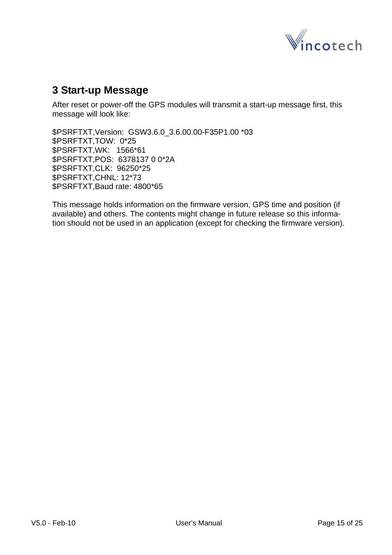

# <span id="page-14-0"></span>**3 Start-up Message**

After reset or power-off the GPS modules will transmit a start-up message first, this message will look like:

\$PSRFTXT,Version: GSW3.6.0\_3.6.00.00-F35P1.00 \*03 \$PSRFTXT,TOW: 0\*25 \$PSRFTXT,WK: 1566\*61 \$PSRFTXT,POS: 6378137 0 0\*2A \$PSRFTXT,CLK: 96250\*25 \$PSRFTXT,CHNL: 12\*73 \$PSRFTXT,Baud rate: 4800\*65

This message holds information on the firmware version, GPS time and position (if available) and others. The contents might change in future release so this information should not be used in an application (except for checking the firmware version).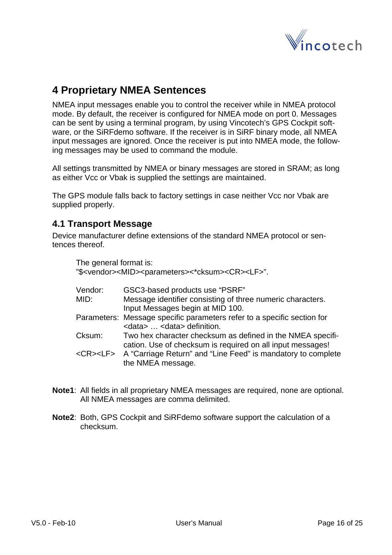

# <span id="page-15-0"></span>**4 Proprietary NMEA Sentences**

NMEA input messages enable you to control the receiver while in NMEA protocol mode. By default, the receiver is configured for NMEA mode on port 0. Messages can be sent by using a terminal program, by using Vincotech's GPS Cockpit software, or the SiRFdemo software. If the receiver is in SiRF binary mode, all NMEA input messages are ignored. Once the receiver is put into NMEA mode, the following messages may be used to command the module.

All settings transmitted by NMEA or binary messages are stored in SRAM; as long as either Vcc or Vbak is supplied the settings are maintained.

The GPS module falls back to factory settings in case neither Vcc nor Vbak are supplied properly.

#### **4.1 Transport Message**

Device manufacturer define extensions of the standard NMEA protocol or sentences thereof.

The general format is:

"\$<vendor><MID><parameters><\*cksum><CR><LF>".

| Vendor: | GSC3-based products use "PSRF"                                                  |
|---------|---------------------------------------------------------------------------------|
| MID:    | Message identifier consisting of three numeric characters.                      |
|         | Input Messages begin at MID 100.                                                |
|         | Parameters: Message specific parameters refer to a specific section for         |
|         | <data> <data> definition.</data></data>                                         |
| Cksum:  | Two hex character checksum as defined in the NMEA specifi-                      |
|         | cation. Use of checksum is required on all input messages!                      |
|         | <cr><lf> A "Carriage Return" and "Line Feed" is mandatory to complete</lf></cr> |
|         | the NMEA message.                                                               |
|         |                                                                                 |

- **Note1**: All fields in all proprietary NMEA messages are required, none are optional. All NMEA messages are comma delimited.
- **Note2**: Both, GPS Cockpit and SiRFdemo software support the calculation of a checksum.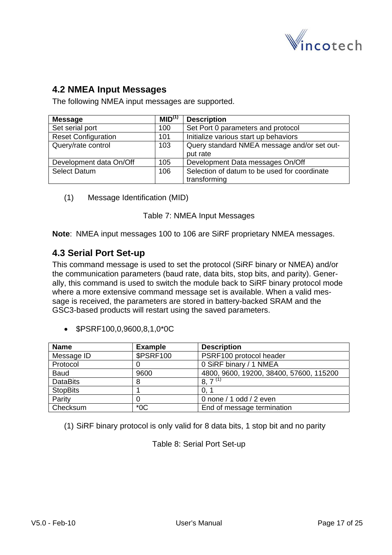

### <span id="page-16-0"></span>**4.2 NMEA Input Messages**

The following NMEA input messages are supported.

| <b>Message</b>             | MID <sup>(1)</sup> | <b>Description</b>                                           |
|----------------------------|--------------------|--------------------------------------------------------------|
| Set serial port            | 100                | Set Port 0 parameters and protocol                           |
| <b>Reset Configuration</b> | 101                | Initialize various start up behaviors                        |
| Query/rate control         | 103                | Query standard NMEA message and/or set out-<br>put rate      |
| Development data On/Off    | 105                | Development Data messages On/Off                             |
| <b>Select Datum</b>        | 106                | Selection of datum to be used for coordinate<br>transforming |

(1) Message Identification (MID)

Table 7: NMEA Input Messages

**Note**: NMEA input messages 100 to 106 are SiRF proprietary NMEA messages.

#### **4.3 Serial Port Set-up**

This command message is used to set the protocol (SiRF binary or NMEA) and/or the communication parameters (baud rate, data bits, stop bits, and parity). Generally, this command is used to switch the module back to SiRF binary protocol mode where a more extensive command message set is available. When a valid message is received, the parameters are stored in battery-backed SRAM and the GSC3-based products will restart using the saved parameters.

• \$PSRF100,0,9600,8,1,0\*0C

| <b>Name</b>     | <b>Example</b>   | <b>Description</b>                      |
|-----------------|------------------|-----------------------------------------|
| Message ID      | <b>\$PSRF100</b> | PSRF100 protocol header                 |
| Protocol        |                  | 0 SiRF binary / 1 NMEA                  |
| Baud            | 9600             | 4800, 9600, 19200, 38400, 57600, 115200 |
| <b>DataBits</b> | Ω                | $8, 7^{(1)}$                            |
| <b>StopBits</b> |                  | 0.7                                     |
| Parity          |                  | 0 none / 1 odd / 2 even                 |
| Checksum        | $*$ OC           | End of message termination              |

(1) SiRF binary protocol is only valid for 8 data bits, 1 stop bit and no parity

Table 8: Serial Port Set-up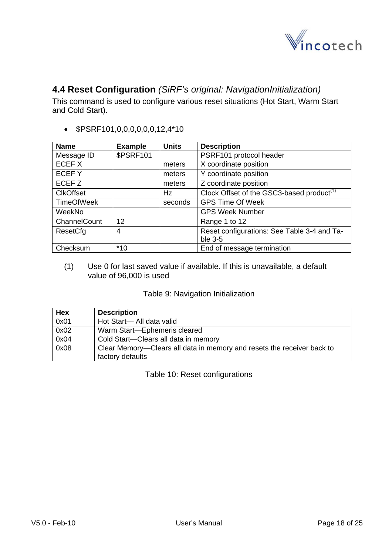

### <span id="page-17-0"></span>**4.4 Reset Configuration** *(SiRF's original: NavigationInitialization)*

This command is used to configure various reset situations (Hot Start, Warm Start and Cold Start).

• \$PSRF101,0,0,0,0,0,0,12,4\*10

| <b>Name</b>       | <b>Example</b>   | <b>Units</b> | <b>Description</b>                                    |
|-------------------|------------------|--------------|-------------------------------------------------------|
| Message ID        | <b>\$PSRF101</b> |              | PSRF101 protocol header                               |
| ECEF X            |                  | meters       | X coordinate position                                 |
| ECEFY             |                  | meters       | Y coordinate position                                 |
| ECEF <sub>Z</sub> |                  | meters       | Z coordinate position                                 |
| <b>CIkOffset</b>  |                  | Hz           | Clock Offset of the GSC3-based product <sup>(1)</sup> |
| <b>TimeOfWeek</b> |                  | seconds      | <b>GPS Time Of Week</b>                               |
| WeekNo            |                  |              | <b>GPS Week Number</b>                                |
| ChannelCount      | 12               |              | Range 1 to 12                                         |
| ResetCfg          | 4                |              | Reset configurations: See Table 3-4 and Ta-           |
|                   |                  |              | ble 3-5                                               |
| Checksum          | $*10$            |              | End of message termination                            |

(1) Use 0 for last saved value if available. If this is unavailable, a default value of 96,000 is used

|  |  | Table 9: Navigation Initialization |
|--|--|------------------------------------|
|--|--|------------------------------------|

| <b>Hex</b> | <b>Description</b>                                                     |
|------------|------------------------------------------------------------------------|
| 0x01       | Hot Start-All data valid                                               |
| 0x02       | Warm Start-Ephemeris cleared                                           |
| 0x04       | Cold Start-Clears all data in memory                                   |
| 0x08       | Clear Memory—Clears all data in memory and resets the receiver back to |
|            | factory defaults                                                       |

Table 10: Reset configurations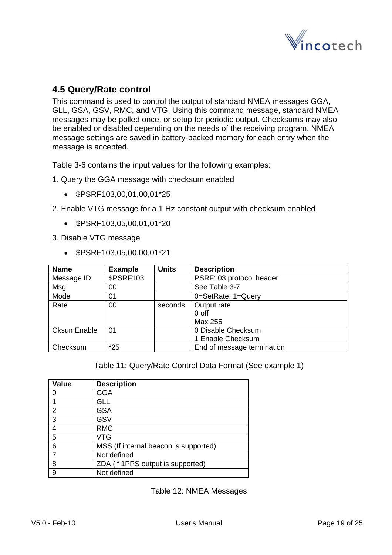

#### <span id="page-18-0"></span>**4.5 Query/Rate control**

This command is used to control the output of standard NMEA messages GGA, GLL, GSA, GSV, RMC, and VTG. Using this command message, standard NMEA messages may be polled once, or setup for periodic output. Checksums may also be enabled or disabled depending on the needs of the receiving program. NMEA message settings are saved in battery-backed memory for each entry when the message is accepted.

Table 3-6 contains the input values for the following examples:

- 1. Query the GGA message with checksum enabled
	- \$PSRF103,00,01,00,01\*25
- 2. Enable VTG message for a 1 Hz constant output with checksum enabled
	- \$PSRF103,05,00,01,01\*20

3. Disable VTG message

• \$PSRF103,05,00,00,01\*21

| <b>Name</b> | <b>Example</b>   | <b>Units</b> | <b>Description</b>         |
|-------------|------------------|--------------|----------------------------|
| Message ID  | <b>\$PSRF103</b> |              | PSRF103 protocol header    |
| Msg         | 00               |              | See Table 3-7              |
| Mode        | 01               |              | 0=SetRate, 1=Query         |
| Rate        | 00               | seconds      | Output rate                |
|             |                  |              | $0$ off                    |
|             |                  |              | Max 255                    |
| CksumEnable | 01               |              | 0 Disable Checksum         |
|             |                  |              | 1 Enable Checksum          |
| Checksum    | $*25$            |              | End of message termination |

Table 11: Query/Rate Control Data Format (See example 1)

| <b>Value</b>   | <b>Description</b>                    |
|----------------|---------------------------------------|
| O              | <b>GGA</b>                            |
|                | GLL                                   |
| $\overline{2}$ | <b>GSA</b>                            |
| 3              | GSV                                   |
| 4              | <b>RMC</b>                            |
| 5              | VTG                                   |
| 6              | MSS (If internal beacon is supported) |
| 7              | Not defined                           |
| 8              | ZDA (if 1PPS output is supported)     |
| 9              | Not defined                           |

Table 12: NMEA Messages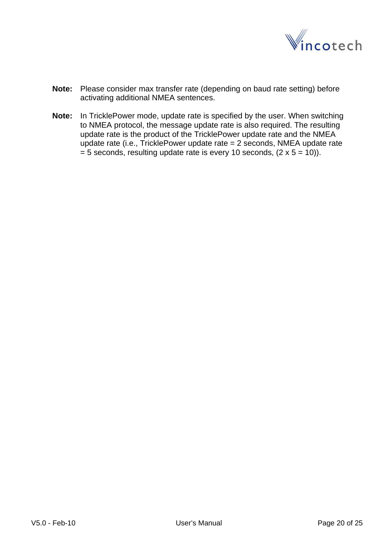

- **Note:** Please consider max transfer rate (depending on baud rate setting) before activating additional NMEA sentences.
- **Note:** In TricklePower mode, update rate is specified by the user. When switching to NMEA protocol, the message update rate is also required. The resulting update rate is the product of the TricklePower update rate and the NMEA update rate (i.e., TricklePower update rate = 2 seconds, NMEA update rate  $= 5$  seconds, resulting update rate is every 10 seconds, (2 x  $5 = 10$ )).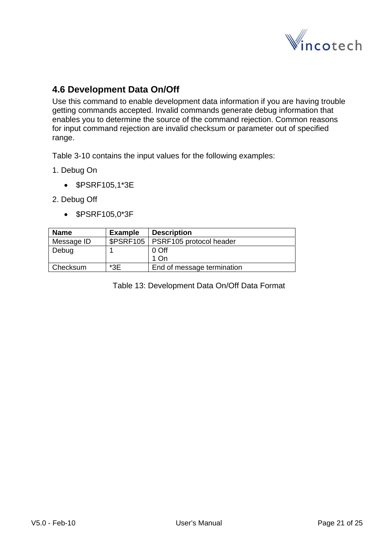

### <span id="page-20-0"></span>**4.6 Development Data On/Off**

Use this command to enable development data information if you are having trouble getting commands accepted. Invalid commands generate debug information that enables you to determine the source of the command rejection. Common reasons for input command rejection are invalid checksum or parameter out of specified range.

Table 3-10 contains the input values for the following examples:

- 1. Debug On
	- \$PSRF105,1\*3E
- 2. Debug Off
	- \$PSRF105,0\*3F

| <b>Name</b> | <b>Example</b> | <b>Description</b>                  |
|-------------|----------------|-------------------------------------|
| Message ID  |                | \$PSRF105   PSRF105 protocol header |
| Debug       |                | 0 Off                               |
|             |                | 1 On                                |
| Checksum    | *3E            | End of message termination          |

Table 13: Development Data On/Off Data Format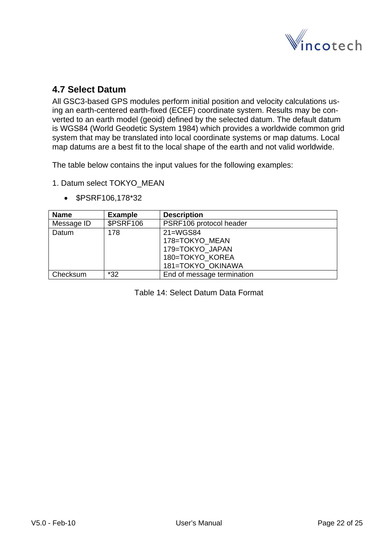

### <span id="page-21-0"></span>**4.7 Select Datum**

All GSC3-based GPS modules perform initial position and velocity calculations using an earth-centered earth-fixed (ECEF) coordinate system. Results may be converted to an earth model (geoid) defined by the selected datum. The default datum is WGS84 (World Geodetic System 1984) which provides a worldwide common grid system that may be translated into local coordinate systems or map datums. Local map datums are a best fit to the local shape of the earth and not valid worldwide.

The table below contains the input values for the following examples:

1. Datum select TOKYO\_MEAN

| <b>Name</b> | <b>Example</b>   | <b>Description</b>         |
|-------------|------------------|----------------------------|
| Message ID  | <b>\$PSRF106</b> | PSRF106 protocol header    |
| Datum       | 178              | 21=WGS84                   |
|             |                  | 178=TOKYO MEAN             |
|             |                  | 179=TOKYO JAPAN            |
|             |                  | 180=TOKYO KOREA            |
|             |                  | 181=TOKYO OKINAWA          |
| Checksum    | $*32$            | End of message termination |

• \$PSRF106,178\*32

Table 14: Select Datum Data Format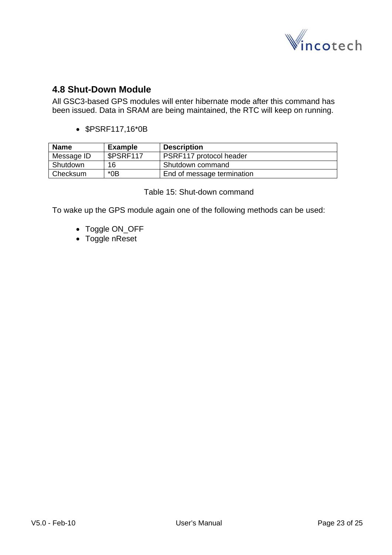

#### <span id="page-22-0"></span>**4.8 Shut-Down Module**

All GSC3-based GPS modules will enter hibernate mode after this command has been issued. Data in SRAM are being maintained, the RTC will keep on running.

• \$PSRF117,16\*0B

| Name       | <b>Example</b> | <b>Description</b>         |
|------------|----------------|----------------------------|
| Message ID | \$PSRF117      | PSRF117 protocol header    |
| Shutdown   | 16             | Shutdown command           |
| l Checksum | *0B            | End of message termination |

Table 15: Shut-down command

To wake up the GPS module again one of the following methods can be used:

- Toggle ON\_OFF
- Toggle nReset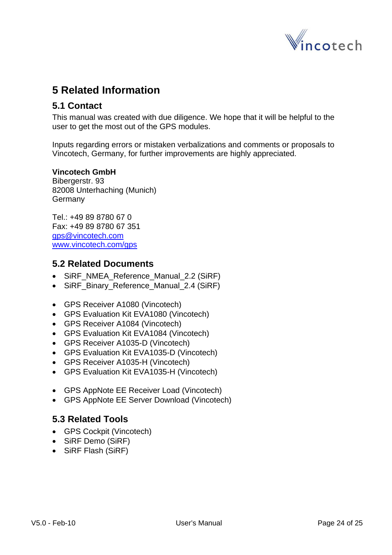

# <span id="page-23-0"></span>**5 Related Information**

#### **5.1 Contact**

This manual was created with due diligence. We hope that it will be helpful to the user to get the most out of the GPS modules.

Inputs regarding errors or mistaken verbalizations and comments or proposals to Vincotech, Germany, for further improvements are highly appreciated.

#### **Vincotech GmbH**

Bibergerstr. 93 82008 Unterhaching (Munich) **Germany** 

Tel.: +49 89 8780 67 0 Fax: +49 89 8780 67 351 [gps@vincotech.com](mailto:gps@vincotech.com?subject=General%20request) [www.vincotech.com/gps](http://www.vincotech.com/gps)

#### **5.2 Related Documents**

- SiRF\_NMEA\_Reference\_Manual\_2.2 (SiRF)
- SiRF Binary Reference Manual 2.4 (SiRF)
- GPS Receiver A1080 (Vincotech)
- GPS Evaluation Kit EVA1080 (Vincotech)
- GPS Receiver A1084 (Vincotech)
- GPS Evaluation Kit EVA1084 (Vincotech)
- GPS Receiver A1035-D (Vincotech)
- GPS Evaluation Kit EVA1035-D (Vincotech)
- GPS Receiver A1035-H (Vincotech)
- GPS Evaluation Kit EVA1035-H (Vincotech)
- GPS AppNote EE Receiver Load (Vincotech)
- GPS AppNote EE Server Download (Vincotech)

### **5.3 Related Tools**

- GPS Cockpit (Vincotech)
- SiRF Demo (SiRF)
- SiRF Flash (SiRF)